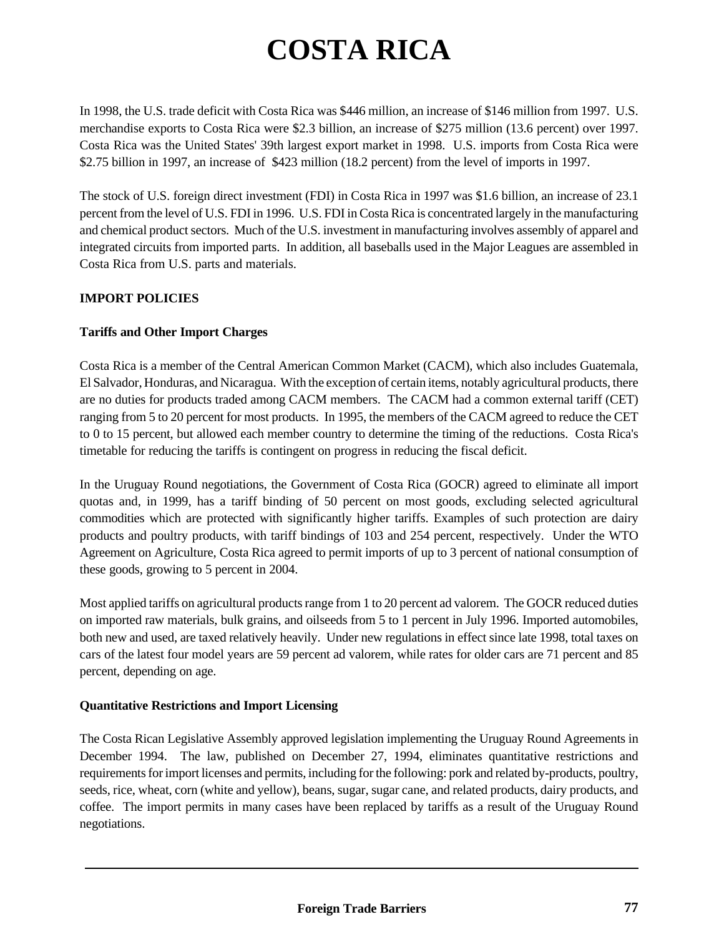# **COSTA RICA**

In 1998, the U.S. trade deficit with Costa Rica was \$446 million, an increase of \$146 million from 1997. U.S. merchandise exports to Costa Rica were \$2.3 billion, an increase of \$275 million (13.6 percent) over 1997. Costa Rica was the United States' 39th largest export market in 1998. U.S. imports from Costa Rica were \$2.75 billion in 1997, an increase of \$423 million (18.2 percent) from the level of imports in 1997.

The stock of U.S. foreign direct investment (FDI) in Costa Rica in 1997 was \$1.6 billion, an increase of 23.1 percent from the level of U.S. FDI in 1996. U.S. FDI in Costa Rica is concentrated largely in the manufacturing and chemical product sectors. Much of the U.S. investment in manufacturing involves assembly of apparel and integrated circuits from imported parts. In addition, all baseballs used in the Major Leagues are assembled in Costa Rica from U.S. parts and materials.

## **IMPORT POLICIES**

## **Tariffs and Other Import Charges**

Costa Rica is a member of the Central American Common Market (CACM), which also includes Guatemala, El Salvador, Honduras, and Nicaragua. With the exception of certain items, notably agricultural products, there are no duties for products traded among CACM members. The CACM had a common external tariff (CET) ranging from 5 to 20 percent for most products. In 1995, the members of the CACM agreed to reduce the CET to 0 to 15 percent, but allowed each member country to determine the timing of the reductions. Costa Rica's timetable for reducing the tariffs is contingent on progress in reducing the fiscal deficit.

In the Uruguay Round negotiations, the Government of Costa Rica (GOCR) agreed to eliminate all import quotas and, in 1999, has a tariff binding of 50 percent on most goods, excluding selected agricultural commodities which are protected with significantly higher tariffs. Examples of such protection are dairy products and poultry products, with tariff bindings of 103 and 254 percent, respectively. Under the WTO Agreement on Agriculture, Costa Rica agreed to permit imports of up to 3 percent of national consumption of these goods, growing to 5 percent in 2004.

Most applied tariffs on agricultural products range from 1 to 20 percent ad valorem. The GOCR reduced duties on imported raw materials, bulk grains, and oilseeds from 5 to 1 percent in July 1996. Imported automobiles, both new and used, are taxed relatively heavily. Under new regulations in effect since late 1998, total taxes on cars of the latest four model years are 59 percent ad valorem, while rates for older cars are 71 percent and 85 percent, depending on age.

#### **Quantitative Restrictions and Import Licensing**

The Costa Rican Legislative Assembly approved legislation implementing the Uruguay Round Agreements in December 1994. The law, published on December 27, 1994, eliminates quantitative restrictions and requirements for import licenses and permits, including for the following: pork and related by-products, poultry, seeds, rice, wheat, corn (white and yellow), beans, sugar, sugar cane, and related products, dairy products, and coffee. The import permits in many cases have been replaced by tariffs as a result of the Uruguay Round negotiations.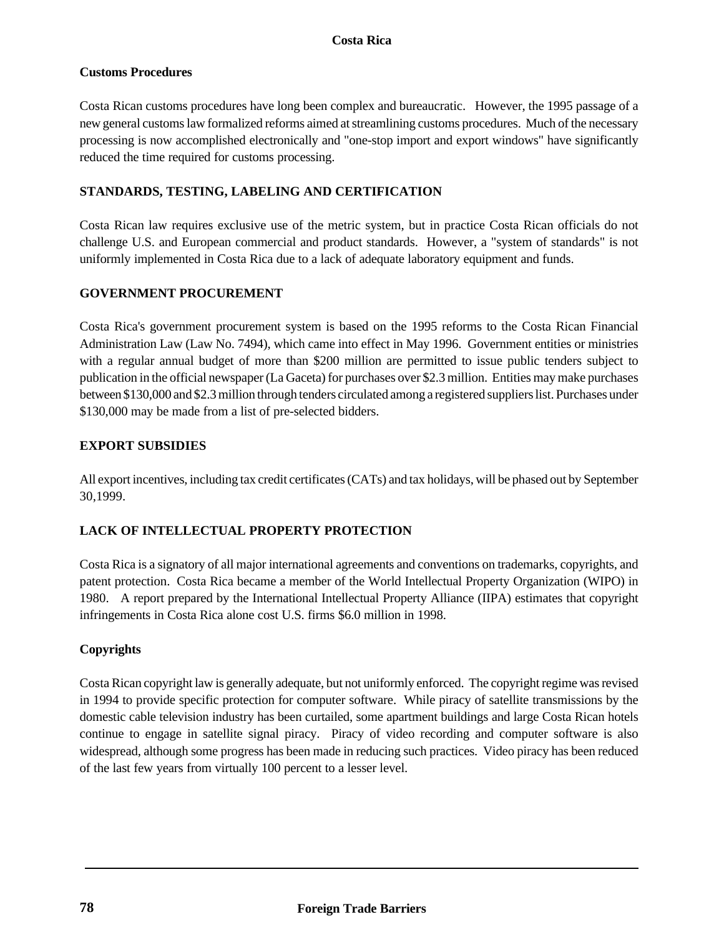## **Customs Procedures**

Costa Rican customs procedures have long been complex and bureaucratic. However, the 1995 passage of a new general customs law formalized reforms aimed at streamlining customs procedures. Much of the necessary processing is now accomplished electronically and "one-stop import and export windows" have significantly reduced the time required for customs processing.

## **STANDARDS, TESTING, LABELING AND CERTIFICATION**

Costa Rican law requires exclusive use of the metric system, but in practice Costa Rican officials do not challenge U.S. and European commercial and product standards. However, a "system of standards" is not uniformly implemented in Costa Rica due to a lack of adequate laboratory equipment and funds.

# **GOVERNMENT PROCUREMENT**

Costa Rica's government procurement system is based on the 1995 reforms to the Costa Rican Financial Administration Law (Law No. 7494), which came into effect in May 1996. Government entities or ministries with a regular annual budget of more than \$200 million are permitted to issue public tenders subject to publication in the official newspaper (La Gaceta) for purchases over \$2.3 million. Entities may make purchases between \$130,000 and \$2.3 million through tenders circulated among a registered suppliers list. Purchases under \$130,000 may be made from a list of pre-selected bidders.

# **EXPORT SUBSIDIES**

All export incentives, including tax credit certificates (CATs) and tax holidays, will be phased out by September 30,1999.

# **LACK OF INTELLECTUAL PROPERTY PROTECTION**

Costa Rica is a signatory of all major international agreements and conventions on trademarks, copyrights, and patent protection. Costa Rica became a member of the World Intellectual Property Organization (WIPO) in 1980. A report prepared by the International Intellectual Property Alliance (IIPA) estimates that copyright infringements in Costa Rica alone cost U.S. firms \$6.0 million in 1998.

## **Copyrights**

Costa Rican copyright law is generally adequate, but not uniformly enforced. The copyright regime was revised in 1994 to provide specific protection for computer software. While piracy of satellite transmissions by the domestic cable television industry has been curtailed, some apartment buildings and large Costa Rican hotels continue to engage in satellite signal piracy. Piracy of video recording and computer software is also widespread, although some progress has been made in reducing such practices. Video piracy has been reduced of the last few years from virtually 100 percent to a lesser level.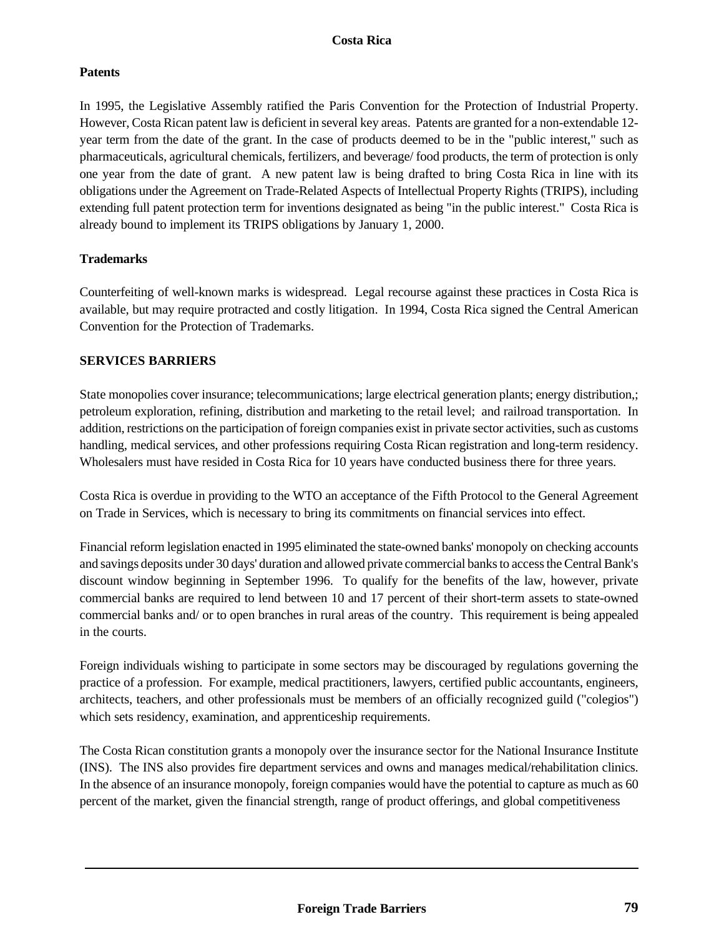## **Patents**

In 1995, the Legislative Assembly ratified the Paris Convention for the Protection of Industrial Property. However, Costa Rican patent law is deficient in several key areas. Patents are granted for a non-extendable 12 year term from the date of the grant. In the case of products deemed to be in the "public interest," such as pharmaceuticals, agricultural chemicals, fertilizers, and beverage/ food products, the term of protection is only one year from the date of grant. A new patent law is being drafted to bring Costa Rica in line with its obligations under the Agreement on Trade-Related Aspects of Intellectual Property Rights (TRIPS), including extending full patent protection term for inventions designated as being "in the public interest." Costa Rica is already bound to implement its TRIPS obligations by January 1, 2000.

#### **Trademarks**

Counterfeiting of well-known marks is widespread. Legal recourse against these practices in Costa Rica is available, but may require protracted and costly litigation. In 1994, Costa Rica signed the Central American Convention for the Protection of Trademarks.

#### **SERVICES BARRIERS**

State monopolies cover insurance; telecommunications; large electrical generation plants; energy distribution,; petroleum exploration, refining, distribution and marketing to the retail level; and railroad transportation. In addition, restrictions on the participation of foreign companies exist in private sector activities, such as customs handling, medical services, and other professions requiring Costa Rican registration and long-term residency. Wholesalers must have resided in Costa Rica for 10 years have conducted business there for three years.

Costa Rica is overdue in providing to the WTO an acceptance of the Fifth Protocol to the General Agreement on Trade in Services, which is necessary to bring its commitments on financial services into effect.

Financial reform legislation enacted in 1995 eliminated the state-owned banks' monopoly on checking accounts and savings deposits under 30 days' duration and allowed private commercial banks to access the Central Bank's discount window beginning in September 1996. To qualify for the benefits of the law, however, private commercial banks are required to lend between 10 and 17 percent of their short-term assets to state-owned commercial banks and/ or to open branches in rural areas of the country. This requirement is being appealed in the courts.

Foreign individuals wishing to participate in some sectors may be discouraged by regulations governing the practice of a profession. For example, medical practitioners, lawyers, certified public accountants, engineers, architects, teachers, and other professionals must be members of an officially recognized guild ("colegios") which sets residency, examination, and apprenticeship requirements.

The Costa Rican constitution grants a monopoly over the insurance sector for the National Insurance Institute (INS). The INS also provides fire department services and owns and manages medical/rehabilitation clinics. In the absence of an insurance monopoly, foreign companies would have the potential to capture as much as 60 percent of the market, given the financial strength, range of product offerings, and global competitiveness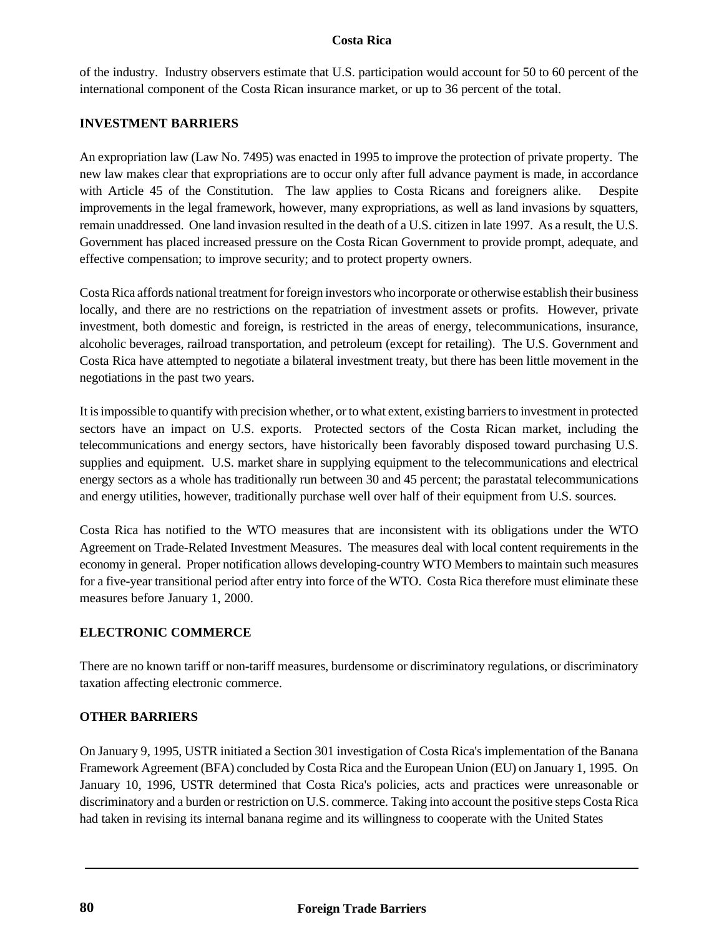#### **Costa Rica**

of the industry. Industry observers estimate that U.S. participation would account for 50 to 60 percent of the international component of the Costa Rican insurance market, or up to 36 percent of the total.

## **INVESTMENT BARRIERS**

An expropriation law (Law No. 7495) was enacted in 1995 to improve the protection of private property. The new law makes clear that expropriations are to occur only after full advance payment is made, in accordance with Article 45 of the Constitution. The law applies to Costa Ricans and foreigners alike. Despite improvements in the legal framework, however, many expropriations, as well as land invasions by squatters, remain unaddressed. One land invasion resulted in the death of a U.S. citizen in late 1997. As a result, the U.S. Government has placed increased pressure on the Costa Rican Government to provide prompt, adequate, and effective compensation; to improve security; and to protect property owners.

Costa Rica affords national treatment for foreign investors who incorporate or otherwise establish their business locally, and there are no restrictions on the repatriation of investment assets or profits. However, private investment, both domestic and foreign, is restricted in the areas of energy, telecommunications, insurance, alcoholic beverages, railroad transportation, and petroleum (except for retailing). The U.S. Government and Costa Rica have attempted to negotiate a bilateral investment treaty, but there has been little movement in the negotiations in the past two years.

It is impossible to quantify with precision whether, or to what extent, existing barriers to investment in protected sectors have an impact on U.S. exports. Protected sectors of the Costa Rican market, including the telecommunications and energy sectors, have historically been favorably disposed toward purchasing U.S. supplies and equipment. U.S. market share in supplying equipment to the telecommunications and electrical energy sectors as a whole has traditionally run between 30 and 45 percent; the parastatal telecommunications and energy utilities, however, traditionally purchase well over half of their equipment from U.S. sources.

Costa Rica has notified to the WTO measures that are inconsistent with its obligations under the WTO Agreement on Trade-Related Investment Measures. The measures deal with local content requirements in the economy in general. Proper notification allows developing-country WTO Members to maintain such measures for a five-year transitional period after entry into force of the WTO. Costa Rica therefore must eliminate these measures before January 1, 2000.

#### **ELECTRONIC COMMERCE**

There are no known tariff or non-tariff measures, burdensome or discriminatory regulations, or discriminatory taxation affecting electronic commerce.

#### **OTHER BARRIERS**

On January 9, 1995, USTR initiated a Section 301 investigation of Costa Rica's implementation of the Banana Framework Agreement (BFA) concluded by Costa Rica and the European Union (EU) on January 1, 1995. On January 10, 1996, USTR determined that Costa Rica's policies, acts and practices were unreasonable or discriminatory and a burden or restriction on U.S. commerce. Taking into account the positive steps Costa Rica had taken in revising its internal banana regime and its willingness to cooperate with the United States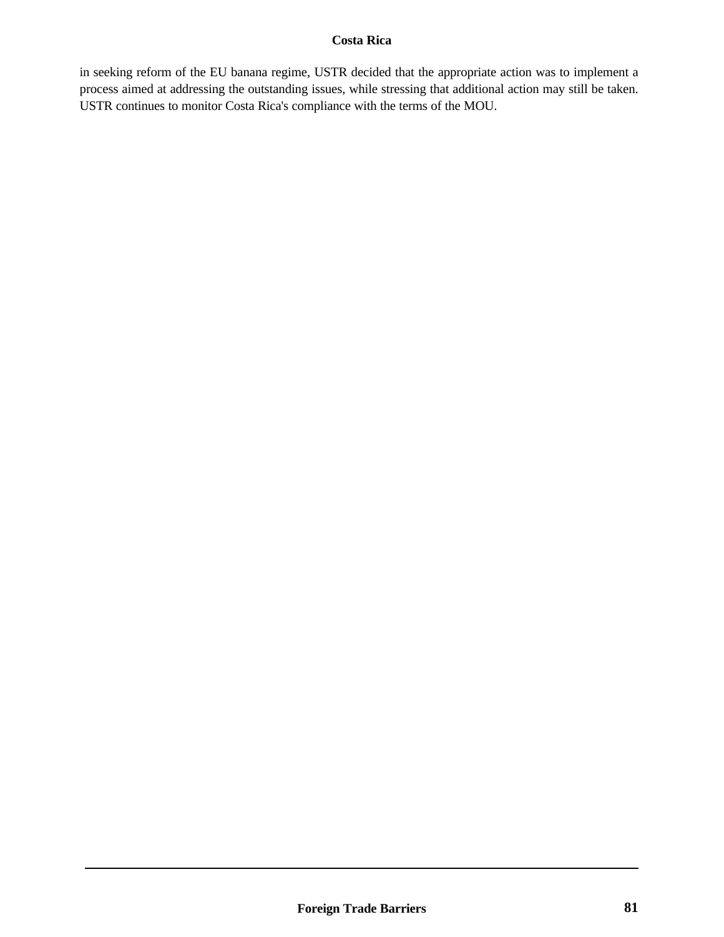## **Costa Rica**

in seeking reform of the EU banana regime, USTR decided that the appropriate action was to implement a process aimed at addressing the outstanding issues, while stressing that additional action may still be taken. USTR continues to monitor Costa Rica's compliance with the terms of the MOU.